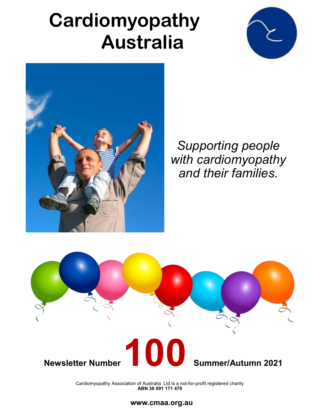# **Cardiomyopathy Australia**





*Supporting people with cardiomyopathy and their families*.



 Cardiomyopathy Association of Australia Ltd is a not-for-profit registered charity **ABN 36 091 171 470**

#### **www.cmaa.org.au**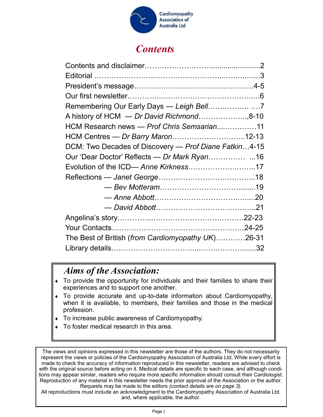

### *Contents*

| A history of HCM - Dr David Richmond8-10              |  |
|-------------------------------------------------------|--|
| HCM Research news - Prof Chris Semsarian11            |  |
| HCM Centres — Dr Barry Maron12-13                     |  |
| DCM: Two Decades of Discovery - Prof Diane Fatkin4-15 |  |
|                                                       |  |
| Evolution of the ICD- Anne Kirkness17                 |  |
|                                                       |  |
|                                                       |  |
|                                                       |  |
|                                                       |  |
|                                                       |  |
|                                                       |  |
| The Best of British (from Cardiomyopathy UK)26-31     |  |
|                                                       |  |

#### *Aims of the Association:*

- To provide the opportunity for individuals and their families to share their experiences and to support one another.
- To provide accurate and up-to-date information about Cardiomyopathy, when it is available, to members, their families and those in the medical profession.
- To increase public awareness of Cardiomyopathy.
- To foster medical research in this area.

The views and opinions expressed in this newsletter are those of the authors. They do not necessarily represent the views or policies of the Cardiomyopathy Association of Australia Ltd. While every effort is made to check the accuracy of information reproduced in this newsletter, readers are advised to check with the original source before acting on it. Medical details are specific to each case, and although conditions may appear similar, readers who require more specific information should consult their Cardiologist. Reproduction of any material in this newsletter needs the prior approval of the Association or the author. Requests may be made to the editors *(contact details are on page 3).* 

All reproductions must include an acknowledgment to the Cardiomyopathy Association of Australia Ltd. and, where applicable, the author.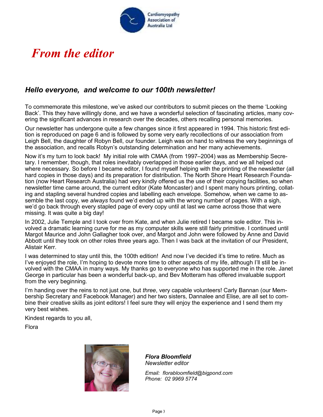

# *From the editor*

#### *Hello everyone, and welcome to our 100th newsletter!*

To commemorate this milestone, we've asked our contributors to submit pieces on the theme 'Looking Back'. This they have willingly done, and we have a wonderful selection of fascinating articles, many covering the significant advances in research over the decades, others recalling personal memories.

Our newsletter has undergone quite a few changes since it first appeared in 1994. This historic first edition is reproduced on page 6 and is followed by some very early recollections of our association from Leigh Bell, the daughter of Robyn Bell, our founder. Leigh was on hand to witness the very beginnings of the association, and recalls Robyn's outstanding determination and her many achievements.

Now it's my turn to look back! My initial role with CMAA (from 1997–2004) was as Membership Secretary. I remember, though, that roles inevitably overlapped in those earlier days, and we all helped out where necessary. So before I became editor, I found myself helping with the printing of the newsletter (all hard copies in those days) and its preparation for distribution. The North Shore Heart Research Foundation (now Heart Research Australia) had very kindly offered us the use of their copying facilities, so when newsletter time came around, the current editor (Kate Moncaster) and I spent many hours printing, collating and stapling several hundred copies and labelling each envelope. Somehow, when we came to assemble the last copy, we *always* found we'd ended up with the wrong number of pages. With a sigh, we'd go back through every stapled page of every copy until at last we came across those that were missing. It was quite a big day!

In 2002, Julie Temple and I took over from Kate, and when Julie retired I became sole editor. This involved a dramatic learning curve for me as my computer skills were still fairly primitive. I continued until Margot Maurice and John Gallagher took over, and Margot and John were followed by Anne and David Abbott until they took on other roles three years ago. Then I was back at the invitation of our President, Alistair Kerr.

I was determined to stay until this, the 100th edition! And now I've decided it's time to retire. Much as I've enjoyed the role, I'm hoping to devote more time to other aspects of my life, although I'll still be involved with the CMAA in many ways. My thanks go to everyone who has supported me in the role. Janet George in particular has been a wonderful back-up, and Bev Motteram has offered invaluable support from the very beginning.

I'm handing over the reins to not just one, but *three*, very capable volunteers! Carly Bannan (our Membership Secretary and Facebook Manager) and her two sisters, Dannalee and Elise, are all set to combine their creative skills as joint editors! I feel sure they will enjoy the experience and I send them my very best wishes.

Kindest regards to you all,

Flora



*Flora Bloomfield Newsletter editor*

*Email: florabloomfield@bigpond.com Phone: 02 9969 5774*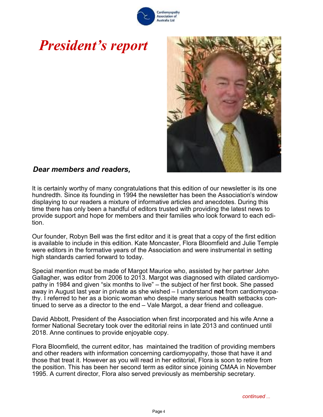# *President's report*

*Dear members and readers,*

### It is certainly worthy of many congratulations that this edition of our newsletter is its one hundredth. Since its founding in 1994 the newsletter has been the Association's window

displaying to our readers a mixture of informative articles and anecdotes. During this time there has only been a handful of editors trusted with providing the latest news to provide support and hope for members and their families who look forward to each edition.

Our founder, Robyn Bell was the first editor and it is great that a copy of the first edition is available to include in this edition. Kate Moncaster, Flora Bloomfield and Julie Temple were editors in the formative years of the Association and were instrumental in setting high standards carried forward to today.

Special mention must be made of Margot Maurice who, assisted by her partner John Gallagher, was editor from 2006 to 2013. Margot was diagnosed with dilated cardiomyopathy in 1984 and given "six months to live" – the subject of her first book. She passed away in August last year in private as she wished – I understand **not** from cardiomyopathy. I referred to her as a bionic woman who despite many serious health setbacks continued to serve as a director to the end – Vale Margot, a dear friend and colleague.

David Abbott, President of the Association when first incorporated and his wife Anne a former National Secretary took over the editorial reins in late 2013 and continued until 2018. Anne continues to provide enjoyable copy.

Flora Bloomfield, the current editor, has maintained the tradition of providing members and other readers with information concerning cardiomyopathy, those that have it and those that treat it. However as you will read in her editorial, Flora is soon to retire from the position. This has been her second term as editor since joining CMAA in November 1995. A current director, Flora also served previously as membership secretary.